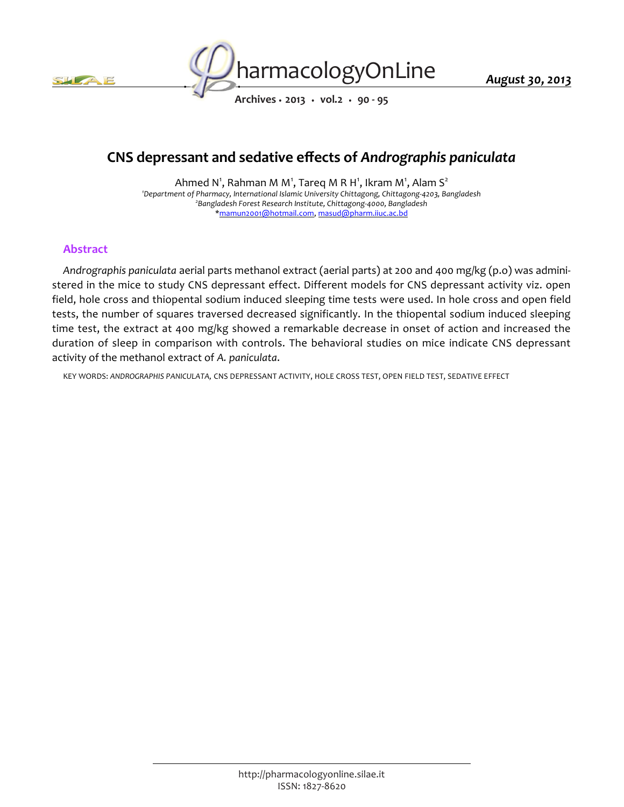



*Archives • 2013 • vol.2 • 90 - 95*

# *CNS depressant and sedative effects of Andrographis paniculata*

*Ahmed N<sup>1</sup> , Rahman M M<sup>1</sup> , Tareq M R H<sup>1</sup> , Ikram M<sup>1</sup> , Alam S<sup>2</sup> <sup>1</sup>Department of Pharmacy, International Islamic University Chittagong, Chittagong-4203, Bangladesh 2 Bangladesh Forest Research Institute, Chittagong-4000, Bangladesh \*mamun2001@hotmail.com, masud@pharm.iiuc.ac.bd*

# *Abstract*

*Andrographis paniculata aerial parts methanol extract (aerial parts) at 200 and 400 mg/kg (p.o) was administered in the mice to study CNS depressant effect. Different models for CNS depressant activity viz. open field, hole cross and thiopental sodium induced sleeping time tests were used. In hole cross and open field*  tests, the number of squares traversed decreased significantly. In the thiopental sodium induced sleeping *time test, the extract at 400 mg/kg showed a remarkable decrease in onset of action and increased the duration of sleep in comparison with controls. The behavioral studies on mice indicate CNS depressant activity of the methanol extract of A. paniculata.*

*KEY WORDS: ANDROGRAPHIS PANICULATA, CNS DEPRESSANT ACTIVITY, HOLE CROSS TEST, OPEN FIELD TEST, SEDATIVE EFFECT*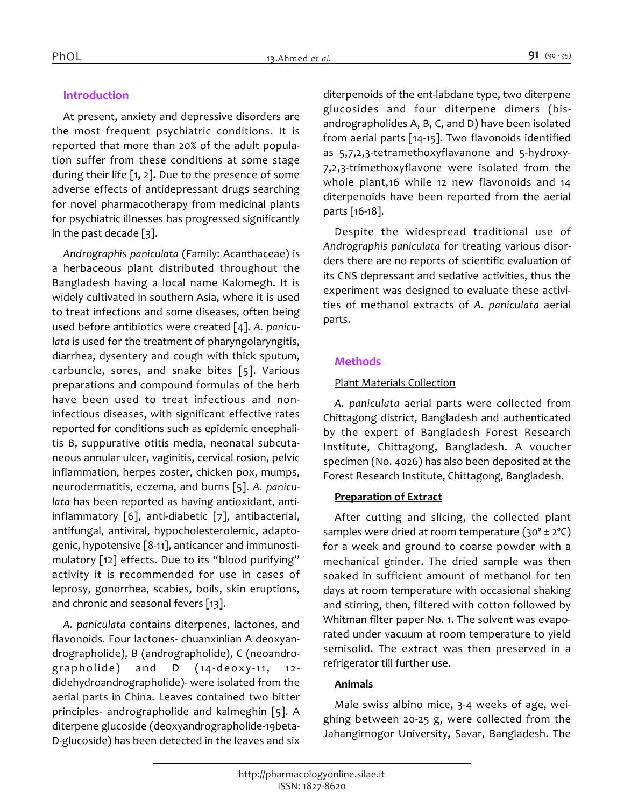# *Introduction*

*At present, anxiety and depressive disorders are the most frequent psychiatric conditions. It is reported that more than 20% of the adult population suffer from these conditions at some stage during their life [1, 2]. Due to the presence of some adverse effects of antidepressant drugs searching for novel pharmacotherapy from medicinal plants for psychiatric illnesses has progressed significantly in the past decade [3].*

*Andrographis paniculata (Family: Acanthaceae) is a herbaceous plant distributed throughout the Bangladesh having a local name Kalomegh. It is widely cultivated in southern Asia, where it is used to treat infections and some diseases, often being used before antibiotics were created [4]. A. paniculata is used for the treatment of pharyngolaryngitis, diarrhea, dysentery and cough with thick sputum, carbuncle, sores, and snake bites [5]. Various preparations and compound formulas of the herb have been used to treat infectious and noninfectious diseases, with significant effective rates reported for conditions such as epidemic encephalitis B, suppurative otitis media, neonatal subcutaneous annular ulcer, vaginitis, cervical rosion, pelvic inflammation, herpes zoster, chicken pox, mumps, neurodermatitis, eczema, and burns [5]. A. paniculata has been reported as having antioxidant, antiinflammatory [6], anti-diabetic [7], antibacterial, antifungal, antiviral, hypocholesterolemic, adaptogenic, hypotensive [8-11], anticancer and immunostimulatory [12] effects. Due to its "blood purifying" activity it is recommended for use in cases of leprosy, gonorrhea, scabies, boils, skin eruptions, and chronic and seasonal fevers [13].*

*A. paniculata contains diterpenes, lactones, and flavonoids. Four lactones- chuanxinlian A deoxyandrographolide), B (andrographolide), C (neoandrographolide) and D (14-deoxy-11, 12 didehydroandrographolide)- were isolated from the aerial parts in China. Leaves contained two bitter principles- andrographolide and kalmeghin [5]. A diterpene glucoside (deoxyandrographolide-19beta-D-glucoside) has been detected in the leaves and six*  *diterpenoids of the ent-labdane type, two diterpene glucosides and four diterpene dimers (bisandrographolides A, B, C, and D) have been isolated from aerial parts [14-15]. Two flavonoids identified as 5,7,2,3-tetramethoxyflavanone and 5-hydroxy-7,2,3-trimethoxyflavone were isolated from the whole plant,16 while 12 new flavonoids and 14 diterpenoids have been reported from the aerial parts [16-18].*

*Despite the widespread traditional use of Andrographis paniculata for treating various disorders there are no reports of scientific evaluation of its CNS depressant and sedative activities, thus the experiment was designed to evaluate these activities of methanol extracts of A. paniculata aerial parts.*

# *Methods*

# *Plant Materials Collection*

*A. paniculata aerial parts were collected from Chittagong district, Bangladesh and authenticated by the expert of Bangladesh Forest Research Institute, Chittagong, Bangladesh. A voucher specimen (No. 4026) has also been deposited at the Forest Research Institute, Chittagong, Bangladesh.*

# *Preparation of Extract*

*After cutting and slicing, the collected plant samples were dried at room temperature (30º ± 2ºC) for a week and ground to coarse powder with a mechanical grinder. The dried sample was then soaked in sufficient amount of methanol for ten days at room temperature with occasional shaking and stirring, then, filtered with cotton followed by Whitman filter paper No. 1. The solvent was evaporated under vacuum at room temperature to yield semisolid. The extract was then preserved in a refrigerator till further use.*

# *Animals*

*Male swiss albino mice, 3-4 weeks of age, weighing between 20-25 g, were collected from the Jahangirnogor University, Savar, Bangladesh. The*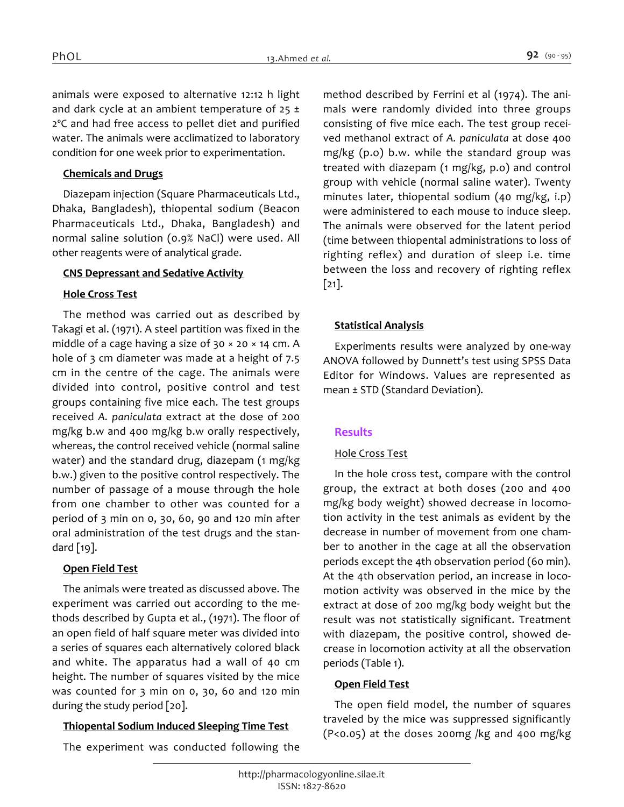*animals were exposed to alternative 12:12 h light and dark cycle at an ambient temperature of 25 ± 2ºC and had free access to pellet diet and purified water. The animals were acclimatized to laboratory condition for one week prior to experimentation.*

#### *Chemicals and Drugs*

*Diazepam injection (Square Pharmaceuticals Ltd., Dhaka, Bangladesh), thiopental sodium (Beacon Pharmaceuticals Ltd., Dhaka, Bangladesh) and normal saline solution (0.9% NaCl) were used. All other reagents were of analytical grade.*

#### *CNS Depressant and Sedative Activity*

#### *Hole Cross Test*

*The method was carried out as described by Takagi et al. (1971). A steel partition was fixed in the middle of a cage having a size of 30 × 20 × 14 cm. A hole of 3 cm diameter was made at a height of 7.5 cm in the centre of the cage. The animals were divided into control, positive control and test groups containing five mice each. The test groups received A. paniculata extract at the dose of 200 mg/kg b.w and 400 mg/kg b.w orally respectively, whereas, the control received vehicle (normal saline water) and the standard drug, diazepam (1 mg/kg b.w.) given to the positive control respectively. The number of passage of a mouse through the hole from one chamber to other was counted for a period of 3 min on 0, 30, 60, 90 and 120 min after oral administration of the test drugs and the standard [19].*

## *Open Field Test*

*The animals were treated as discussed above. The experiment was carried out according to the methods described by Gupta et al., (1971). The floor of an open field of half square meter was divided into a series of squares each alternatively colored black and white. The apparatus had a wall of 40 cm height. The number of squares visited by the mice was counted for 3 min on 0, 30, 60 and 120 min during the study period [20].*

#### *Thiopental Sodium Induced Sleeping Time Test*

*The experiment was conducted following the* 

*method described by Ferrini et al (1974). The animals were randomly divided into three groups consisting of five mice each. The test group received methanol extract of A. paniculata at dose 400 mg/kg (p.o) b.w. while the standard group was treated with diazepam (1 mg/kg, p.o) and control group with vehicle (normal saline water). Twenty minutes later, thiopental sodium (40 mg/kg, i.p) were administered to each mouse to induce sleep. The animals were observed for the latent period (time between thiopental administrations to loss of righting reflex) and duration of sleep i.e. time between the loss and recovery of righting reflex [21].*

#### *Statistical Analysis*

*Experiments results were analyzed by one-way ANOVA followed by Dunnett's test using SPSS Data Editor for Windows. Values are represented as mean ± STD (Standard Deviation).*

#### *Results*

#### *Hole Cross Test*

*In the hole cross test, compare with the control group, the extract at both doses (200 and 400 mg/kg body weight) showed decrease in locomotion activity in the test animals as evident by the decrease in number of movement from one chamber to another in the cage at all the observation periods except the 4th observation period (60 min). At the 4th observation period, an increase in locomotion activity was observed in the mice by the extract at dose of 200 mg/kg body weight but the result was not statistically significant. Treatment with diazepam, the positive control, showed decrease in locomotion activity at all the observation periods (Table 1).*

#### *Open Field Test*

*The open field model, the number of squares traveled by the mice was suppressed significantly (P<0.05) at the doses 200mg /kg and 400 mg/kg*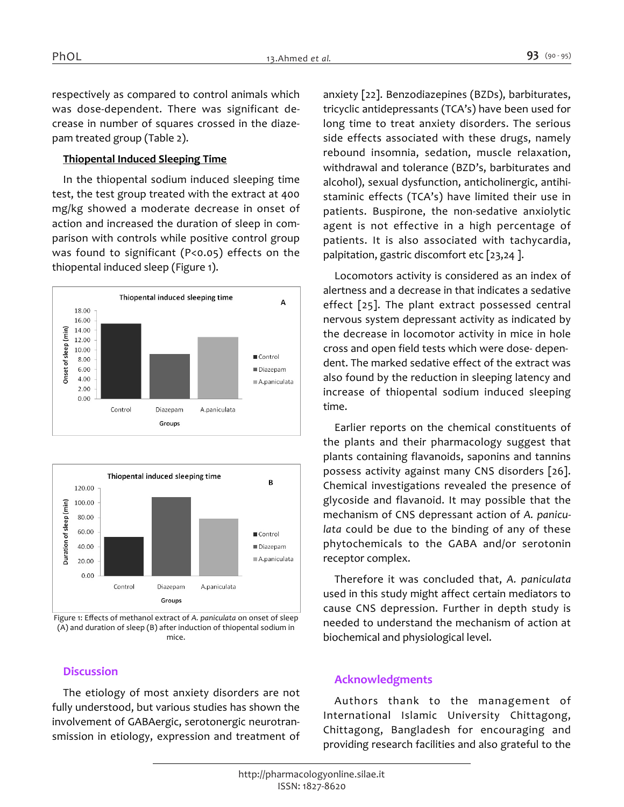*respectively as compared to control animals which was dose-dependent. There was significant decrease in number of squares crossed in the diazepam treated group (Table 2).*

#### *Thiopental Induced Sleeping Time*

*In the thiopental sodium induced sleeping time test, the test group treated with the extract at 400 mg/kg showed a moderate decrease in onset of action and increased the duration of sleep in comparison with controls while positive control group was found to significant (P<0.05) effects on the thiopental induced sleep (Figure 1).*





*Figure 1: Effects of methanol extract of A. paniculata on onset of sleep (A) and duration of sleep (B) after induction of thiopental sodium in mice.*

## *Discussion*

*The etiology of most anxiety disorders are not fully understood, but various studies has shown the involvement of GABAergic, serotonergic neurotransmission in etiology, expression and treatment of*  *anxiety [22]. Benzodiazepines (BZDs), barbiturates, tricyclic antidepressants (TCA's) have been used for long time to treat anxiety disorders. The serious side effects associated with these drugs, namely rebound insomnia, sedation, muscle relaxation, withdrawal and tolerance (BZD's, barbiturates and alcohol), sexual dysfunction, anticholinergic, antihistaminic effects (TCA's) have limited their use in patients. Buspirone, the non-sedative anxiolytic agent is not effective in a high percentage of patients. It is also associated with tachycardia, palpitation, gastric discomfort etc [23,24 ].*

*Locomotors activity is considered as an index of alertness and a decrease in that indicates a sedative effect [25]. The plant extract possessed central nervous system depressant activity as indicated by the decrease in locomotor activity in mice in hole cross and open field tests which were dose- dependent. The marked sedative effect of the extract was also found by the reduction in sleeping latency and increase of thiopental sodium induced sleeping time.*

*Earlier reports on the chemical constituents of the plants and their pharmacology suggest that plants containing flavanoids, saponins and tannins possess activity against many CNS disorders [26]. Chemical investigations revealed the presence of glycoside and flavanoid. It may possible that the mechanism of CNS depressant action of A. paniculata could be due to the binding of any of these phytochemicals to the GABA and/or serotonin receptor complex.*

*Therefore it was concluded that, A. paniculata used in this study might affect certain mediators to cause CNS depression. Further in depth study is needed to understand the mechanism of action at biochemical and physiological level.*

# *Acknowledgments*

*Authors thank to the management of International Islamic University Chittagong, Chittagong, Bangladesh for encouraging and providing research facilities and also grateful to the*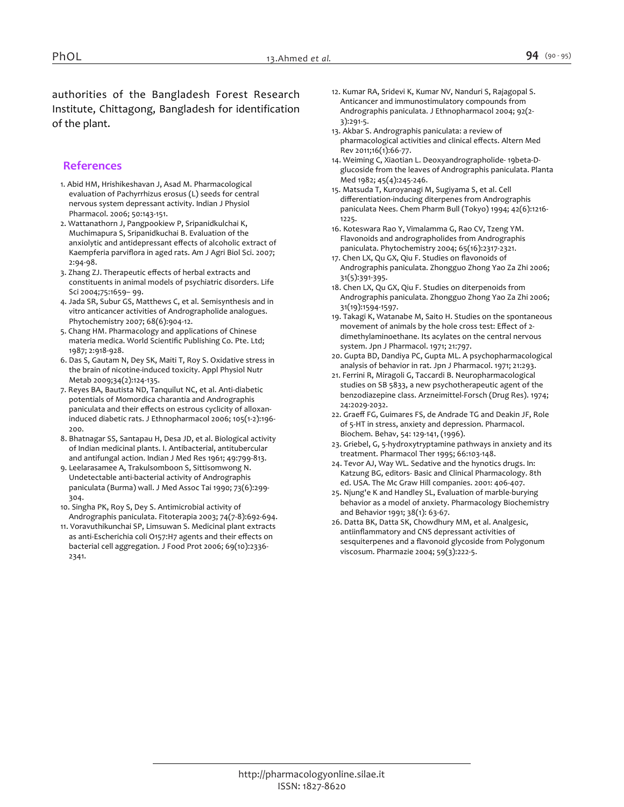*authorities of the Bangladesh Forest Research Institute, Chittagong, Bangladesh for identification of the plant.*

## *References*

- *1. Abid HM, Hrishikeshavan J, Asad M. Pharmacological evaluation of Pachyrrhizus erosus (L) seeds for central nervous system depressant activity. Indian J Physiol Pharmacol. 2006; 50:143-151.*
- *2. Wattanathorn J, Pangpookiew P, Sripanidkulchai K, Muchimapura S, Sripanidkuchai B. Evaluation of the anxiolytic and antidepressant effects of alcoholic extract of Kaempferia parviflora in aged rats. Am J Agri Biol Sci. 2007; 2:94-98.*
- *3. Zhang ZJ. Therapeutic effects of herbal extracts and constituents in animal models of psychiatric disorders. Life Sci 2004;75:1659– 99.*
- *4. Jada SR, Subur GS, Matthews C, et al. Semisynthesis and in vitro anticancer activities of Andrographolide analogues. Phytochemistry 2007; 68(6):904-12.*
- *5. Chang HM. Pharmacology and applications of Chinese materia medica. World Scientific Publishing Co. Pte. Ltd; 1987; 2:918-928.*
- *6. Das S, Gautam N, Dey SK, Maiti T, Roy S. Oxidative stress in the brain of nicotine-induced toxicity. Appl Physiol Nutr Metab 2009;34(2):124-135.*
- *7. Reyes BA, Bautista ND, Tanquilut NC, et al. Anti-diabetic potentials of Momordica charantia and Andrographis paniculata and their effects on estrous cyclicity of alloxaninduced diabetic rats. J Ethnopharmacol 2006; 105(1-2):196- 200.*
- *8. Bhatnagar SS, Santapau H, Desa JD, et al. Biological activity of Indian medicinal plants. I. Antibacterial, antitubercular and antifungal action. Indian J Med Res 1961; 49:799-813.*
- *9. Leelarasamee A, Trakulsomboon S, Sittisomwong N. Undetectable anti-bacterial activity of Andrographis paniculata (Burma) wall. J Med Assoc Tai 1990; 73(6):299- 304.*
- *10. Singha PK, Roy S, Dey S. Antimicrobial activity of Andrographis paniculata. Fitoterapia 2003; 74(7-8):692-694.*
- *11. Voravuthikunchai SP, Limsuwan S. Medicinal plant extracts as anti-Escherichia coli O157:H7 agents and their effects on bacterial cell aggregation. J Food Prot 2006; 69(10):2336- 2341.*
- *12. Kumar RA, Sridevi K, Kumar NV, Nanduri S, Rajagopal S. Anticancer and immunostimulatory compounds from Andrographis paniculata. J Ethnopharmacol 2004; 92(2- 3):291-5.*
- *13. Akbar S. Andrographis paniculata: a review of pharmacological activities and clinical effects. Altern Med Rev 2011;16(1):66-77.*
- *14. Weiming C, Xiaotian L. Deoxyandrographolide- 19beta-Dglucoside from the leaves of Andrographis paniculata. Planta Med 1982; 45(4):245-246.*
- *15. Matsuda T, Kuroyanagi M, Sugiyama S, et al. Cell differentiation-inducing diterpenes from Andrographis paniculata Nees. Chem Pharm Bull (Tokyo) 1994; 42(6):1216- 1225.*
- *16. Koteswara Rao Y, Vimalamma G, Rao CV, Tzeng YM. Flavonoids and andrographolides from Andrographis paniculata. Phytochemistry 2004; 65(16):2317-2321.*
- *17. Chen LX, Qu GX, Qiu F. Studies on flavonoids of Andrographis paniculata. Zhongguo Zhong Yao Za Zhi 2006; 31(5):391-395.*
- *18. Chen LX, Qu GX, Qiu F. Studies on diterpenoids from Andrographis paniculata. Zhongguo Zhong Yao Za Zhi 2006; 31(19):1594-1597.*
- *19. Takagi K, Watanabe M, Saito H. Studies on the spontaneous movement of animals by the hole cross test: Effect of 2 dimethylaminoethane. Its acylates on the central nervous system. Jpn J Pharmacol. 1971; 21:797.*
- *20. Gupta BD, Dandiya PC, Gupta ML. A psychopharmacological analysis of behavior in rat. Jpn J Pharmacol. 1971; 21:293.*
- *21. Ferrini R, Miragoli G, Taccardi B. Neuropharmacological studies on SB 5833, a new psychotherapeutic agent of the benzodiazepine class. Arzneimittel-Forsch (Drug Res). 1974; 24:2029-2032.*
- *22. Graeff FG, Guimares FS, de Andrade TG and Deakin JF, Role of 5-HT in stress, anxiety and depression. Pharmacol. Biochem. Behav, 54: 129-141, (1996).*
- *23. Griebel, G, 5-hydroxytryptamine pathways in anxiety and its treatment. Pharmacol Ther 1995; 66:103-148.*
- *24. Tevor AJ, Way WL. Sedative and the hynotics drugs. In: Katzung BG, editors- Basic and Clinical Pharmacology. 8th ed. USA. The Mc Graw Hill companies. 2001: 406-407.*
- *25. Njung'e K and Handley SL, Evaluation of marble-burying behavior as a model of anxiety. Pharmacology Biochemistry and Behavior 1991; 38(1): 63-67.*
- *26. Datta BK, Datta SK, Chowdhury MM, et al. Analgesic, antiinflammatory and CNS depressant activities of sesquiterpenes and a flavonoid glycoside from Polygonum viscosum. Pharmazie 2004; 59(3):222-5.*